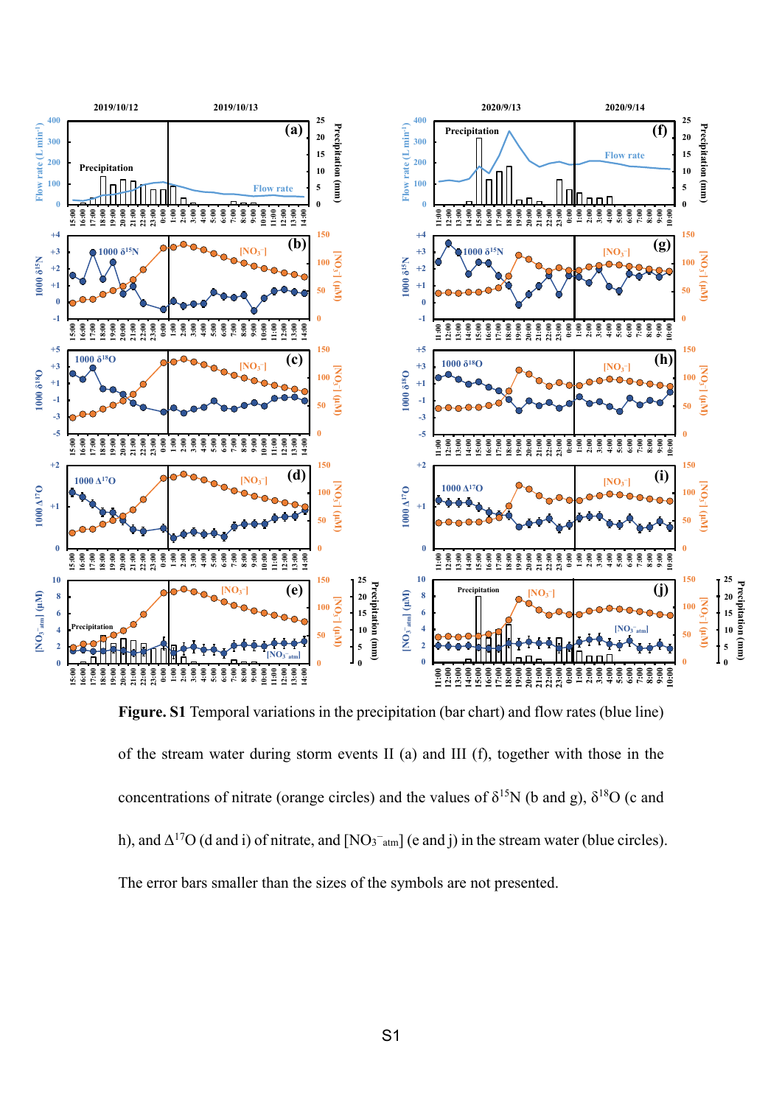

**Figure. S1** Temporal variations in the precipitation (bar chart) and flow rates (blue line) of the stream water during storm events II (a) and III (f), together with those in the concentrations of nitrate (orange circles) and the values of  $\delta^{15}N$  (b and g),  $\delta^{18}O$  (c and h), and  $\Delta^{17}O$  (d and i) of nitrate, and  $[NO<sub>3</sub><sup>-</sup>atm]$  (e and j) in the stream water (blue circles). The error bars smaller than the sizes of the symbols are not presented.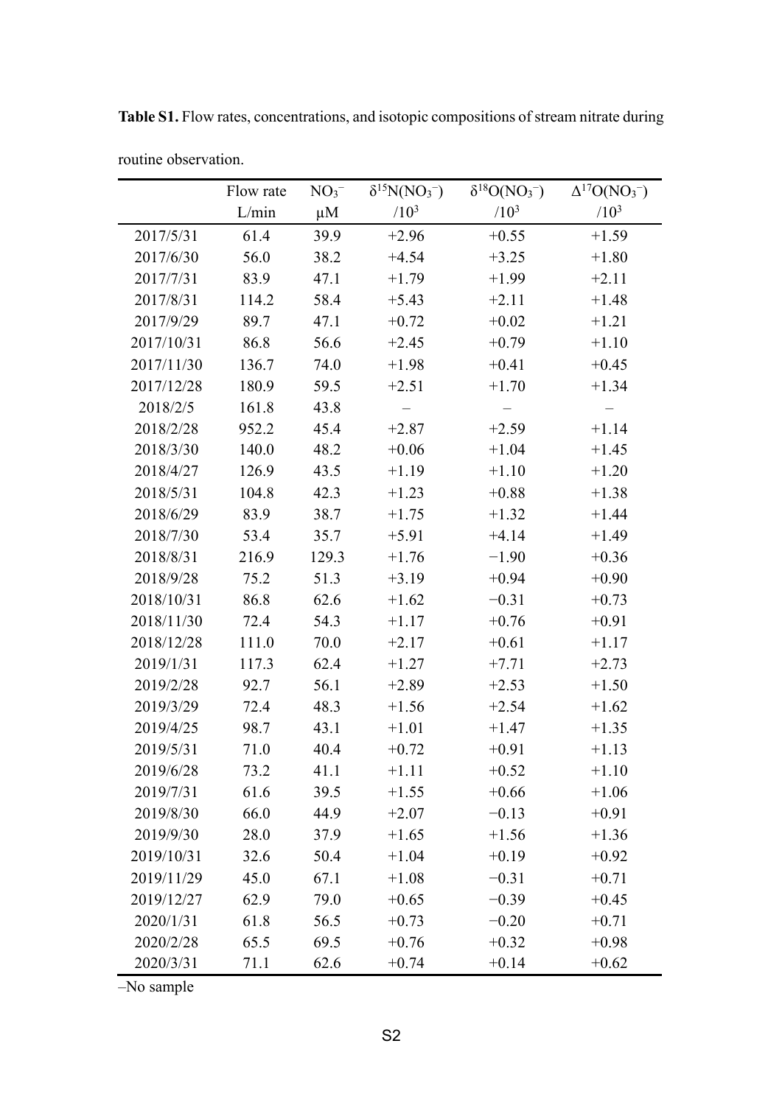|            | Flow rate | $\delta^{15}N(NO_3^-)$<br>$NO3-$ |         | $\delta^{18}O(NO_3^-)$ | $\Delta^{17}O(NO_3^-)$ |
|------------|-----------|----------------------------------|---------|------------------------|------------------------|
|            | L/min     | $\mu$ M                          | $/10^3$ | $/10^3$                | $/10^3$                |
| 2017/5/31  | 61.4      | 39.9                             | $+2.96$ | $+0.55$                | $+1.59$                |
| 2017/6/30  | 56.0      | 38.2                             | $+4.54$ | $+3.25$                | $+1.80$                |
| 2017/7/31  | 83.9      | 47.1                             | $+1.79$ | $+1.99$                | $+2.11$                |
| 2017/8/31  | 114.2     | 58.4                             | $+5.43$ | $+2.11$                | $+1.48$                |
| 2017/9/29  | 89.7      | 47.1                             | $+0.72$ | $+0.02$                | $+1.21$                |
| 2017/10/31 | 86.8      | 56.6                             | $+2.45$ | $+0.79$                | $+1.10$                |
| 2017/11/30 | 136.7     | 74.0                             | $+1.98$ | $+0.41$                | $+0.45$                |
| 2017/12/28 | 180.9     | 59.5                             | $+2.51$ | $+1.70$                | $+1.34$                |
| 2018/2/5   | 161.8     | 43.8                             |         |                        |                        |
| 2018/2/28  | 952.2     | 45.4                             | $+2.87$ | $+2.59$                | $+1.14$                |
| 2018/3/30  | 140.0     | 48.2                             | $+0.06$ | $+1.04$                | $+1.45$                |
| 2018/4/27  | 126.9     | 43.5                             | $+1.19$ | $+1.10$                | $+1.20$                |
| 2018/5/31  | 104.8     | 42.3                             | $+1.23$ | $+0.88$                | $+1.38$                |
| 2018/6/29  | 83.9      | 38.7                             | $+1.75$ | $+1.32$                | $+1.44$                |
| 2018/7/30  | 53.4      | 35.7                             | $+5.91$ | $+4.14$                | $+1.49$                |
| 2018/8/31  | 216.9     | 129.3                            | $+1.76$ | $-1.90$                | $+0.36$                |
| 2018/9/28  | 75.2      | 51.3                             | $+3.19$ | $+0.94$                | $+0.90$                |
| 2018/10/31 | 86.8      | 62.6                             | $+1.62$ | $-0.31$                | $+0.73$                |
| 2018/11/30 | 72.4      | 54.3                             | $+1.17$ | $+0.76$                | $+0.91$                |
| 2018/12/28 | 111.0     | 70.0                             | $+2.17$ | $+0.61$                | $+1.17$                |
| 2019/1/31  | 117.3     | 62.4                             | $+1.27$ | $+7.71$                | $+2.73$                |
| 2019/2/28  | 92.7      | 56.1                             | $+2.89$ | $+2.53$                | $+1.50$                |
| 2019/3/29  | 72.4      | 48.3                             | $+1.56$ | $+2.54$                | $+1.62$                |
| 2019/4/25  | 98.7      | 43.1                             | $+1.01$ | $+1.47$                | $+1.35$                |
| 2019/5/31  | 71.0      | 40.4                             | $+0.72$ | $+0.91$                | $+1.13$                |
| 2019/6/28  | 73.2      | 41.1                             | $+1.11$ | $+0.52$                | $+1.10$                |
| 2019/7/31  | 61.6      | 39.5                             | $+1.55$ | $+0.66$                | $+1.06$                |
| 2019/8/30  | 66.0      | 44.9                             | $+2.07$ | $-0.13$                | $+0.91$                |
| 2019/9/30  | 28.0      | 37.9                             | $+1.65$ | $+1.56$                | $+1.36$                |
| 2019/10/31 | 32.6      | 50.4                             | $+1.04$ | $+0.19$                | $+0.92$                |
| 2019/11/29 | 45.0      | 67.1                             | $+1.08$ | $-0.31$                | $+0.71$                |
| 2019/12/27 | 62.9      | 79.0                             | $+0.65$ | $-0.39$                | $+0.45$                |
| 2020/1/31  | 61.8      | 56.5                             | $+0.73$ | $-0.20$                | $+0.71$                |
| 2020/2/28  | 65.5      | 69.5                             | $+0.76$ | $+0.32$                | $+0.98$                |
| 2020/3/31  | 71.1      | 62.6                             | $+0.74$ | $+0.14$                | $+0.62$                |

Table S1. Flow rates, concentrations, and isotopic compositions of stream nitrate during

-No sample

routine observation.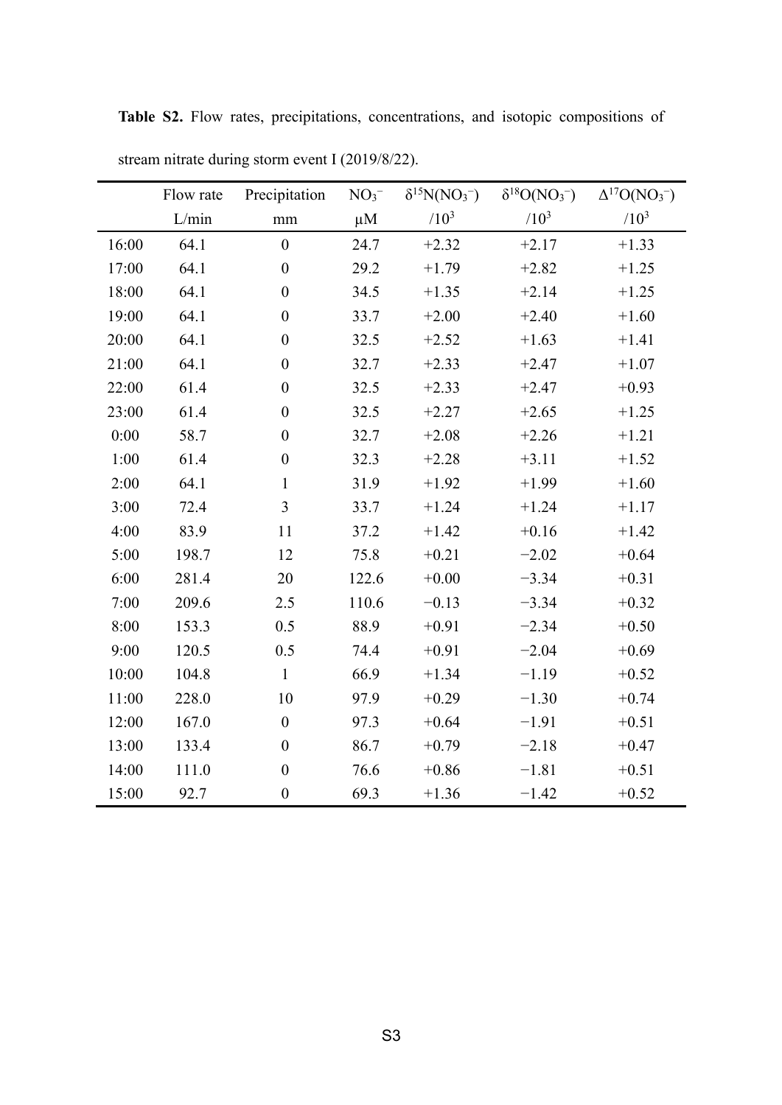|       | Flow rate | Precipitation    | $NO3-$  | $\delta^{15}N(NO_3^-)$ | $\delta^{18}O(NO_3^-)$ | $\Delta^{17}O(NO_3^-)$ |
|-------|-----------|------------------|---------|------------------------|------------------------|------------------------|
|       | L/min     | $\rm mm$         | $\mu$ M | $/10^{3}$              | $/10^{3}$              | $/10^{3}$              |
| 16:00 | 64.1      | $\overline{0}$   | 24.7    | $+2.32$                | $+2.17$                | $+1.33$                |
| 17:00 | 64.1      | $\boldsymbol{0}$ | 29.2    | $+1.79$                | $+2.82$                | $+1.25$                |
| 18:00 | 64.1      | $\boldsymbol{0}$ | 34.5    | $+1.35$                | $+2.14$                | $+1.25$                |
| 19:00 | 64.1      | $\boldsymbol{0}$ | 33.7    | $+2.00$                | $+2.40$                | $+1.60$                |
| 20:00 | 64.1      | $\boldsymbol{0}$ | 32.5    | $+2.52$                | $+1.63$                | $+1.41$                |
| 21:00 | 64.1      | $\boldsymbol{0}$ | 32.7    | $+2.33$                | $+2.47$                | $+1.07$                |
| 22:00 | 61.4      | $\boldsymbol{0}$ | 32.5    | $+2.33$                | $+2.47$                | $+0.93$                |
| 23:00 | 61.4      | $\boldsymbol{0}$ | 32.5    | $+2.27$                | $+2.65$                | $+1.25$                |
| 0:00  | 58.7      | $\boldsymbol{0}$ | 32.7    | $+2.08$                | $+2.26$                | $+1.21$                |
| 1:00  | 61.4      | $\boldsymbol{0}$ | 32.3    | $+2.28$                | $+3.11$                | $+1.52$                |
| 2:00  | 64.1      | $\mathbf{1}$     | 31.9    | $+1.92$                | $+1.99$                | $+1.60$                |
| 3:00  | 72.4      | $\overline{3}$   | 33.7    | $+1.24$                | $+1.24$                | $+1.17$                |
| 4:00  | 83.9      | 11               | 37.2    | $+1.42$                | $+0.16$                | $+1.42$                |
| 5:00  | 198.7     | 12               | 75.8    | $+0.21$                | $-2.02$                | $+0.64$                |
| 6:00  | 281.4     | 20               | 122.6   | $+0.00$                | $-3.34$                | $+0.31$                |
| 7:00  | 209.6     | 2.5              | 110.6   | $-0.13$                | $-3.34$                | $+0.32$                |
| 8:00  | 153.3     | 0.5              | 88.9    | $+0.91$                | $-2.34$                | $+0.50$                |
| 9:00  | 120.5     | 0.5              | 74.4    | $+0.91$                | $-2.04$                | $+0.69$                |
| 10:00 | 104.8     | $\mathbf{1}$     | 66.9    | $+1.34$                | $-1.19$                | $+0.52$                |
| 11:00 | 228.0     | 10               | 97.9    | $+0.29$                | $-1.30$                | $+0.74$                |
| 12:00 | 167.0     | $\boldsymbol{0}$ | 97.3    | $+0.64$                | $-1.91$                | $+0.51$                |
| 13:00 | 133.4     | $\boldsymbol{0}$ | 86.7    | $+0.79$                | $-2.18$                | $+0.47$                |
| 14:00 | 111.0     | $\boldsymbol{0}$ | 76.6    | $+0.86$                | $-1.81$                | $+0.51$                |
| 15:00 | 92.7      | $\boldsymbol{0}$ | 69.3    | $+1.36$                | $-1.42$                | $+0.52$                |

Table S2. Flow rates, precipitations, concentrations, and isotopic compositions of stream nitrate during storm event I (2019/8/22).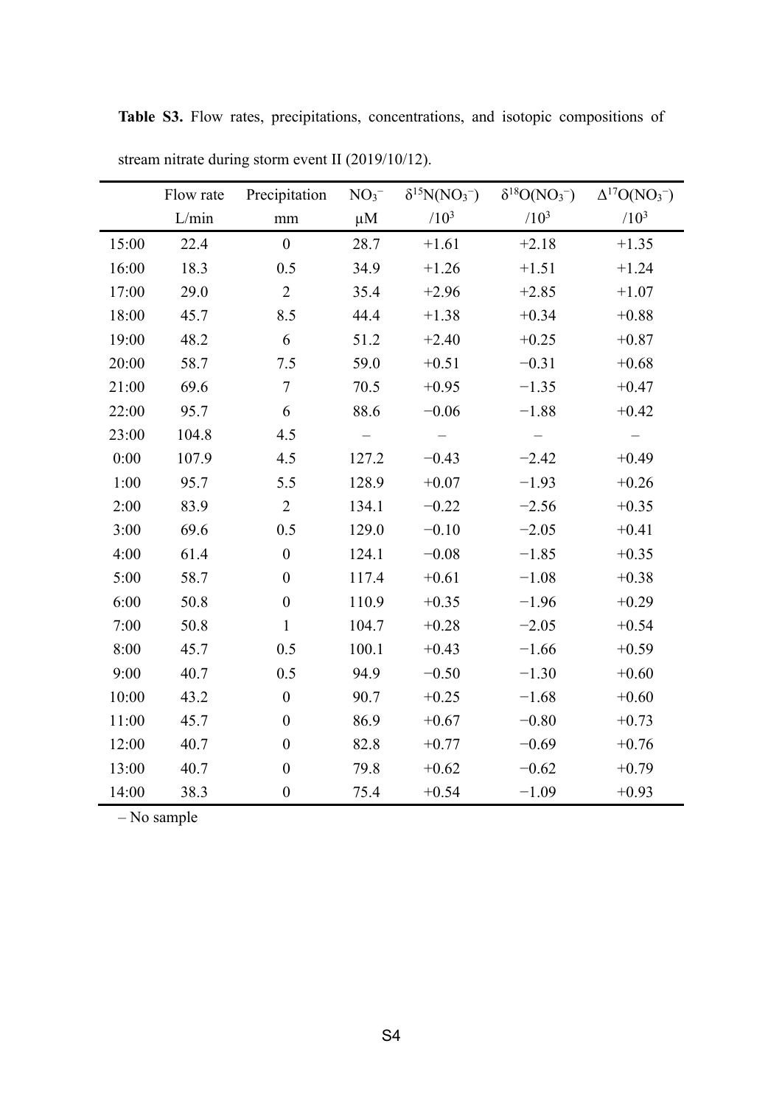|       | Flow rate | Precipitation    | $NO3-$  | $\delta^{15}N(NO_3^-)$ | $\delta^{18}O(NO_3^-)$ | $\Delta^{17}O(NO_3^-)$ |
|-------|-----------|------------------|---------|------------------------|------------------------|------------------------|
|       | L/min     | $\rm mm$         | $\mu$ M | $/10^3$                | $/10^{3}$              | $/10^{3}$              |
| 15:00 | 22.4      | $\mathbf{0}$     | 28.7    | $+1.61$                | $+2.18$                | $+1.35$                |
| 16:00 | 18.3      | 0.5              | 34.9    | $+1.26$                | $+1.51$                | $+1.24$                |
| 17:00 | 29.0      | $\overline{2}$   | 35.4    | $+2.96$                | $+2.85$                | $+1.07$                |
| 18:00 | 45.7      | 8.5              | 44.4    | $+1.38$                | $+0.34$                | $+0.88$                |
| 19:00 | 48.2      | 6                | 51.2    | $+2.40$                | $+0.25$                | $+0.87$                |
| 20:00 | 58.7      | 7.5              | 59.0    | $+0.51$                | $-0.31$                | $+0.68$                |
| 21:00 | 69.6      | $\tau$           | 70.5    | $+0.95$                | $-1.35$                | $+0.47$                |
| 22:00 | 95.7      | 6                | 88.6    | $-0.06$                | $-1.88$                | $+0.42$                |
| 23:00 | 104.8     | 4.5              |         |                        |                        |                        |
| 0:00  | 107.9     | 4.5              | 127.2   | $-0.43$                | $-2.42$                | $+0.49$                |
| 1:00  | 95.7      | 5.5              | 128.9   | $+0.07$                | $-1.93$                | $+0.26$                |
| 2:00  | 83.9      | $\overline{2}$   | 134.1   | $-0.22$                | $-2.56$                | $+0.35$                |
| 3:00  | 69.6      | 0.5              | 129.0   | $-0.10$                | $-2.05$                | $+0.41$                |
| 4:00  | 61.4      | $\boldsymbol{0}$ | 124.1   | $-0.08$                | $-1.85$                | $+0.35$                |
| 5:00  | 58.7      | $\boldsymbol{0}$ | 117.4   | $+0.61$                | $-1.08$                | $+0.38$                |
| 6:00  | 50.8      | $\boldsymbol{0}$ | 110.9   | $+0.35$                | $-1.96$                | $+0.29$                |
| 7:00  | 50.8      | $\mathbf{1}$     | 104.7   | $+0.28$                | $-2.05$                | $+0.54$                |
| 8:00  | 45.7      | 0.5              | 100.1   | $+0.43$                | $-1.66$                | $+0.59$                |
| 9:00  | 40.7      | 0.5              | 94.9    | $-0.50$                | $-1.30$                | $+0.60$                |
| 10:00 | 43.2      | $\boldsymbol{0}$ | 90.7    | $+0.25$                | $-1.68$                | $+0.60$                |
| 11:00 | 45.7      | $\boldsymbol{0}$ | 86.9    | $+0.67$                | $-0.80$                | $+0.73$                |
| 12:00 | 40.7      | $\boldsymbol{0}$ | 82.8    | $+0.77$                | $-0.69$                | $+0.76$                |
| 13:00 | 40.7      | $\boldsymbol{0}$ | 79.8    | $+0.62$                | $-0.62$                | $+0.79$                |
| 14:00 | 38.3      | $\boldsymbol{0}$ | 75.4    | $+0.54$                | $-1.09$                | $+0.93$                |

**Table S3.** Flow rates, precipitations, concentrations, and isotopic compositions of stream nitrate during storm event II (2019/10/12).

– No sample